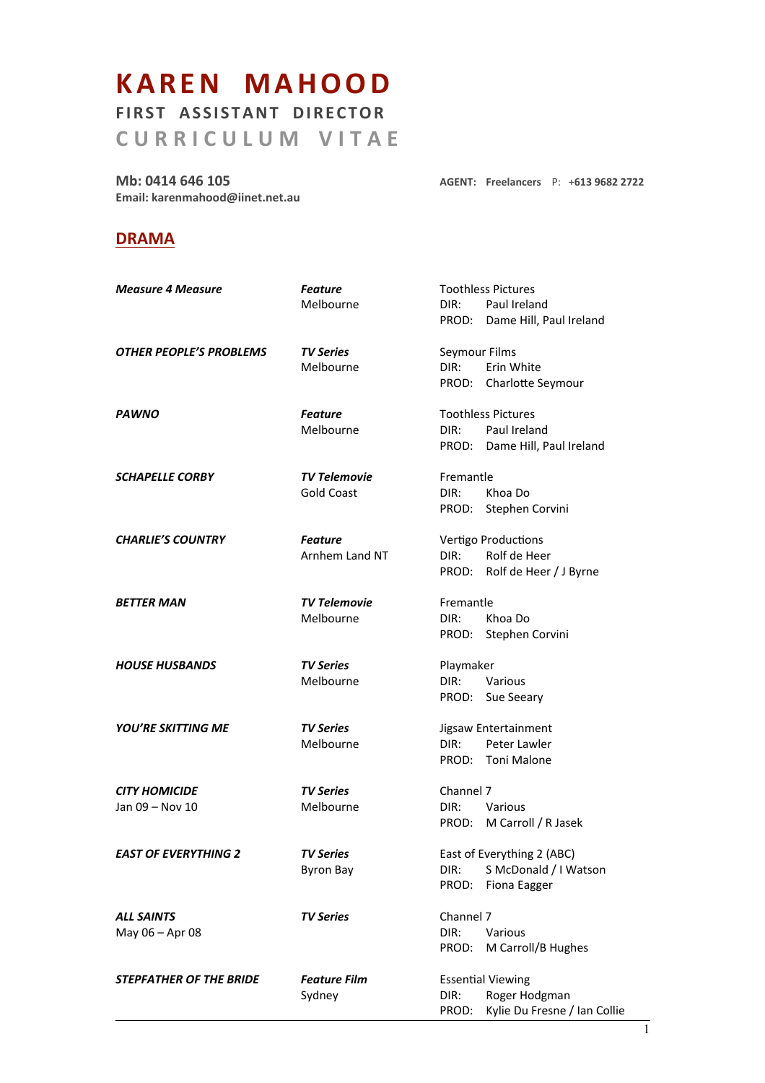## **K A R EN M A HOO D FIRST ASSISTANT DIRECTOR C U R R I C U L U M V I T A E**

**Mb: 0414 646 105 AGENT: Freelancers**  $P: +613\,9682\,2722$ **Email: karenmahood@iinet.net.au**

## **DRAMA**

| <b>Measure 4 Measure</b>       | <b>Feature</b>                    | <b>Toothless Pictures</b>             |  |
|--------------------------------|-----------------------------------|---------------------------------------|--|
|                                | Melbourne                         | DIR:<br>Paul Ireland                  |  |
|                                |                                   | PROD:<br>Dame Hill, Paul Ireland      |  |
| <b>OTHER PEOPLE'S PROBLEMS</b> | <b>TV Series</b><br>Seymour Films |                                       |  |
|                                | Melbourne                         | Erin White<br>DIR:                    |  |
|                                |                                   | PROD:<br>Charlotte Seymour            |  |
| <b>PAWNO</b>                   | <b>Feature</b>                    | <b>Toothless Pictures</b>             |  |
|                                | Melbourne                         | DIR:<br>Paul Ireland                  |  |
|                                |                                   | Dame Hill, Paul Ireland<br>PROD:      |  |
| <b>SCHAPELLE CORBY</b>         | <b>TV Telemovie</b>               | Fremantle                             |  |
|                                | <b>Gold Coast</b>                 | DIR:<br>Khoa Do                       |  |
|                                |                                   | PROD:<br>Stephen Corvini              |  |
| <b>CHARLIE'S COUNTRY</b>       | <b>Feature</b>                    | Vertigo Productions                   |  |
|                                | Arnhem Land NT                    | Rolf de Heer<br>DIR:                  |  |
|                                |                                   | Rolf de Heer / J Byrne<br>PROD:       |  |
| <b>BETTER MAN</b>              | <b>TV Telemovie</b>               | Fremantle                             |  |
|                                | Melbourne                         | DIR:<br>Khoa Do                       |  |
|                                |                                   | PROD:<br>Stephen Corvini              |  |
| <b>HOUSE HUSBANDS</b>          | <b>TV Series</b>                  | Playmaker                             |  |
|                                | Melbourne                         | DIR:<br>Various                       |  |
|                                |                                   | PROD:<br>Sue Seeary                   |  |
| YOU'RE SKITTING ME             | <b>TV Series</b>                  | Jigsaw Entertainment                  |  |
|                                | Melbourne                         | Peter Lawler<br>DIR:                  |  |
|                                |                                   | <b>Toni Malone</b><br>PROD:           |  |
| <b>CITY HOMICIDE</b>           | <b>TV Series</b>                  | Channel 7                             |  |
| Jan 09 - Nov 10                | Melbourne                         | DIR:<br>Various                       |  |
|                                |                                   | M Carroll / R Jasek<br>PROD:          |  |
| <b>EAST OF EVERYTHING 2</b>    | <b>TV Series</b>                  | East of Everything 2 (ABC)            |  |
|                                | <b>Byron Bay</b>                  | S McDonald / I Watson<br>DIR:         |  |
|                                |                                   | PROD:<br>Fiona Eagger                 |  |
| <b>ALL SAINTS</b>              | <b>TV Series</b>                  | Channel 7                             |  |
| May 06 - Apr 08                |                                   | DIR:<br>Various                       |  |
|                                |                                   | PROD:<br>M Carroll/B Hughes           |  |
| <b>STEPFATHER OF THE BRIDE</b> | <b>Feature Film</b>               | <b>Essential Viewing</b>              |  |
|                                | Sydney                            | Roger Hodgman<br>DIR:                 |  |
|                                |                                   | Kylie Du Fresne / Ian Collie<br>PROD: |  |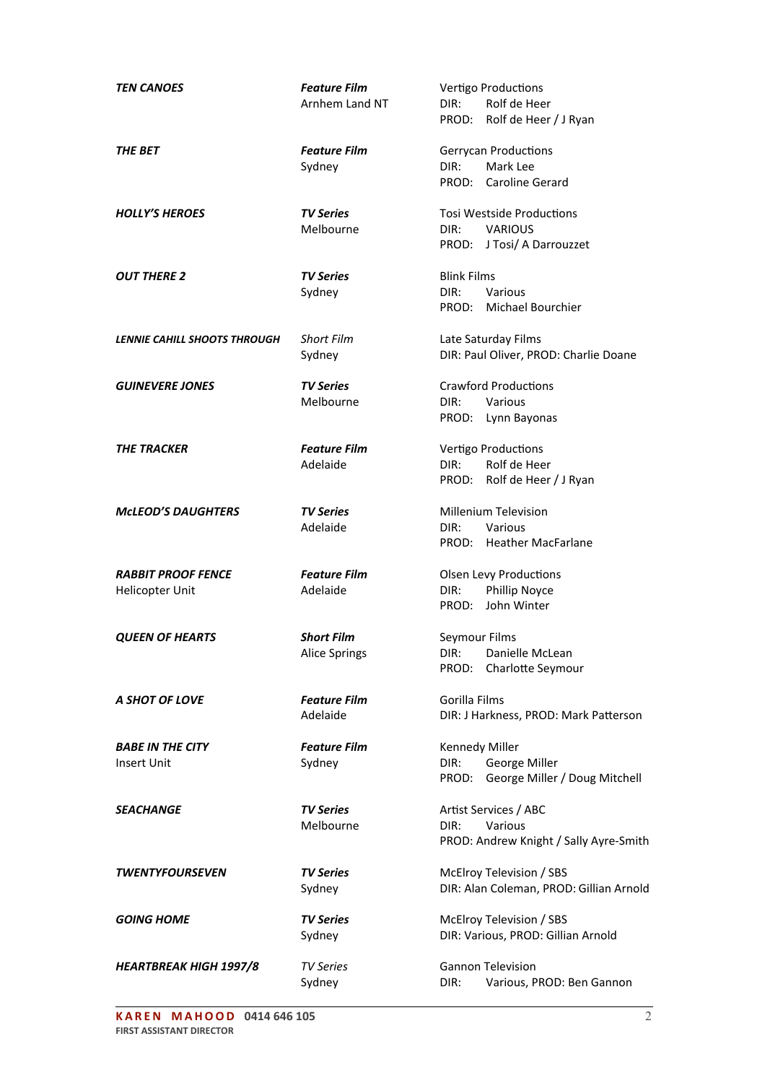| <b>TEN CANOES</b>                             | <b>Feature Film</b><br>Arnhem Land NT     | Vertigo Productions<br>Rolf de Heer<br>DIR:<br>PROD:<br>Rolf de Heer / J Ryan        |
|-----------------------------------------------|-------------------------------------------|--------------------------------------------------------------------------------------|
| <b>THE BET</b>                                | <b>Feature Film</b><br>Sydney             | <b>Gerrycan Productions</b><br>DIR:<br>Mark Lee<br>Caroline Gerard<br>PROD:          |
| <b>HOLLY'S HEROES</b>                         | <b>TV Series</b><br>Melbourne             | Tosi Westside Productions<br>DIR:<br><b>VARIOUS</b><br>J Tosi/ A Darrouzzet<br>PROD: |
| <b>OUT THERE 2</b>                            | TV Series<br>Sydney                       | <b>Blink Films</b><br>DIR:<br>Various<br>Michael Bourchier<br>PROD:                  |
| <b>LENNIE CAHILL SHOOTS THROUGH</b>           | <b>Short Film</b><br>Sydney               | Late Saturday Films<br>DIR: Paul Oliver, PROD: Charlie Doane                         |
| <b>GUINEVERE JONES</b>                        | <b>TV Series</b><br>Melbourne             | <b>Crawford Productions</b><br>Various<br>DIR:<br>PROD:<br>Lynn Bayonas              |
| <b>THE TRACKER</b>                            | <b>Feature Film</b><br>Adelaide           | Vertigo Productions<br>DIR:<br>Rolf de Heer<br>PROD:<br>Rolf de Heer / J Ryan        |
| <b>MCLEOD'S DAUGHTERS</b>                     | <b>TV Series</b><br>Adelaide              | Millenium Television<br>Various<br>DIR:<br><b>Heather MacFarlane</b><br>PROD:        |
| <b>RABBIT PROOF FENCE</b><br>Helicopter Unit  | <b>Feature Film</b><br>Adelaide           | <b>Olsen Levy Productions</b><br>Phillip Noyce<br>DIR:<br>John Winter<br>PROD:       |
| <b>QUEEN OF HEARTS</b>                        | <b>Short Film</b><br><b>Alice Springs</b> | Seymour Films<br>DIR: Danielle McLean<br>PROD: Charlotte Seymour                     |
| A SHOT OF LOVE                                | <b>Feature Film</b><br>Adelaide           | Gorilla Films<br>DIR: J Harkness, PROD: Mark Patterson                               |
| <b>BABE IN THE CITY</b><br><b>Insert Unit</b> | <b>Feature Film</b><br>Sydney             | Kennedy Miller<br>George Miller<br>DIR:<br>George Miller / Doug Mitchell<br>PROD:    |
| <b>SEACHANGE</b>                              | <b>TV Series</b><br>Melbourne             | Artist Services / ABC<br>DIR:<br>Various<br>PROD: Andrew Knight / Sally Ayre-Smith   |
| <b>TWENTYFOURSEVEN</b>                        | <b>TV Series</b><br>Sydney                | McElroy Television / SBS<br>DIR: Alan Coleman, PROD: Gillian Arnold                  |
| <b>GOING HOME</b>                             | <b>TV Series</b><br>Sydney                | McElroy Television / SBS<br>DIR: Various, PROD: Gillian Arnold                       |
| <b>HEARTBREAK HIGH 1997/8</b>                 | TV Series<br>Sydney                       | <b>Gannon Television</b><br>Various, PROD: Ben Gannon<br>DIR:                        |